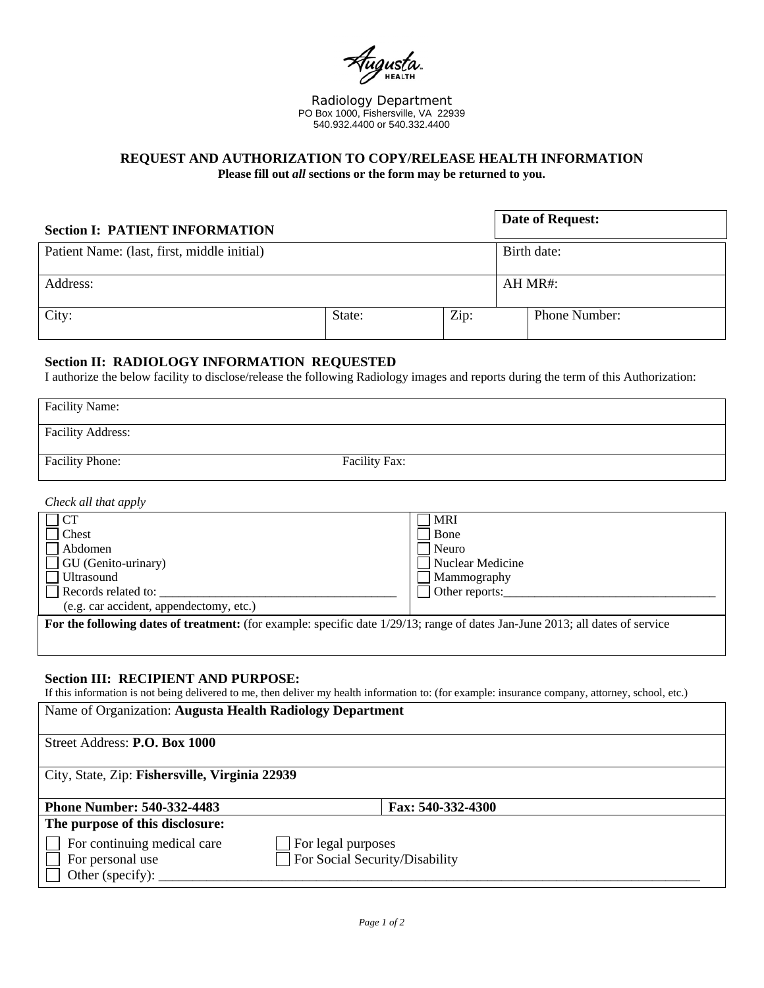

Radiology Department PO Box 1000, Fishersville, VA 22939 540.932.4400 or 540.332.4400

# **REQUEST AND AUTHORIZATION TO COPY/RELEASE HEALTH INFORMATION Please fill out** *all* **sections or the form may be returned to you.**

| <b>Section I: PATIENT INFORMATION</b>       |        |      | Date of Request: |                      |
|---------------------------------------------|--------|------|------------------|----------------------|
| Patient Name: (last, first, middle initial) |        |      |                  | Birth date:          |
| Address:                                    |        |      | AH MR#:          |                      |
| City:                                       | State: | Zip: |                  | <b>Phone Number:</b> |

#### **Section II: RADIOLOGY INFORMATION REQUESTED**

I authorize the below facility to disclose/release the following Radiology images and reports during the term of this Authorization:

| <b>Facility Name:</b>    |                      |
|--------------------------|----------------------|
| <b>Facility Address:</b> |                      |
| <b>Facility Phone:</b>   | <b>Facility Fax:</b> |

*Check all that apply* 

 $\overline{\phantom{a}}$ 

| CT                                      | <b>MRI</b>                             |
|-----------------------------------------|----------------------------------------|
| Chest                                   | Bone                                   |
| Abdomen                                 | Neuro                                  |
| GU (Genito-urinary)                     | Nuclear Medicine                       |
| <b>Ultrasound</b>                       | Mammography                            |
| Records related to:                     | Other reports:                         |
| (e.g. car accident, appendectomy, etc.) |                                        |
| $1.01 \pm 1.00110$                      | $0.010 \pm 11.0$<br>$c_1, \ldots, c_n$ |

**For the following dates of treatment:** (for example: specific date 1/29/13; range of dates Jan-June 2013; all dates of service

#### **Section III: RECIPIENT AND PURPOSE:**

If this information is not being delivered to me, then deliver my health information to: (for example: insurance company, attorney, school, etc.)

| Name of Organization: Augusta Health Radiology Department |                                |  |  |  |
|-----------------------------------------------------------|--------------------------------|--|--|--|
| Street Address: P.O. Box 1000                             |                                |  |  |  |
| City, State, Zip: Fishersville, Virginia 22939            |                                |  |  |  |
| <b>Phone Number: 540-332-4483</b>                         | Fax: 540-332-4300              |  |  |  |
| The purpose of this disclosure:                           |                                |  |  |  |
| For continuing medical care<br>For legal purposes         |                                |  |  |  |
| For personal use<br>Other (specify):                      | For Social Security/Disability |  |  |  |